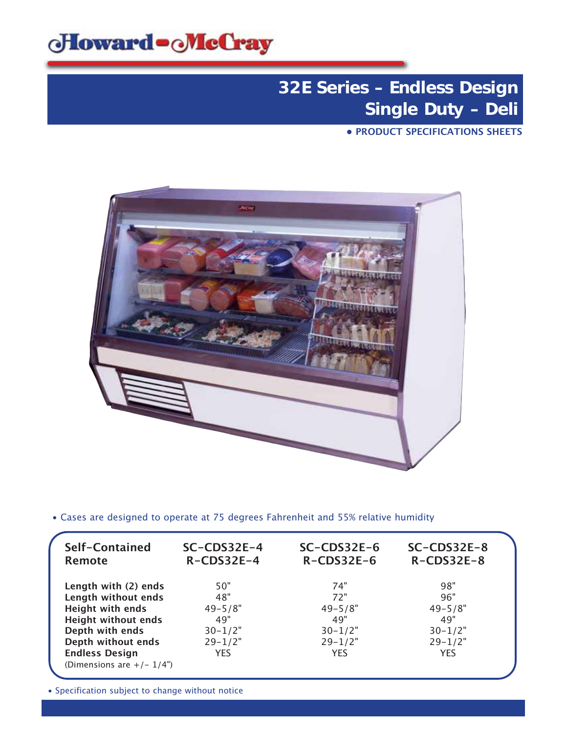

**• PRODUCT SPECIFICATIONS SHEETS**



• Cases are designed to operate at 75 degrees Fahrenheit and 55% relative humidity

| Self-Contained<br><b>Remote</b> | $SC$ -CDS32E-4<br>$R$ -CDS32E-4 | $SC$ -CDS32E-6<br>$R$ -CDS32E-6 | $SC$ -CDS32E-8<br>$R$ -CDS32E-8 |  |
|---------------------------------|---------------------------------|---------------------------------|---------------------------------|--|
| Length with (2) ends            | 50"                             | 74"                             | 98"                             |  |
| Length without ends             | 48"                             | 72"                             | 96"                             |  |
| <b>Height with ends</b>         | $49 - 5/8"$                     | $49 - 5/8"$                     | $49 - 5/8"$                     |  |
| <b>Height without ends</b>      | 49"                             | 49"                             | 49"                             |  |
| Depth with ends                 | $30 - 1/2"$                     | $30 - 1/2"$                     | $30 - 1/2"$                     |  |
| Depth without ends              | $29 - 1/2"$                     | $29 - 1/2"$                     | $29 - 1/2"$                     |  |
| <b>Endless Design</b>           | <b>YES</b>                      | <b>YES</b>                      | <b>YES</b>                      |  |
| (Dimensions are $+/- 1/4$ ")    |                                 |                                 |                                 |  |
|                                 |                                 |                                 |                                 |  |

• Specification subject to change without notice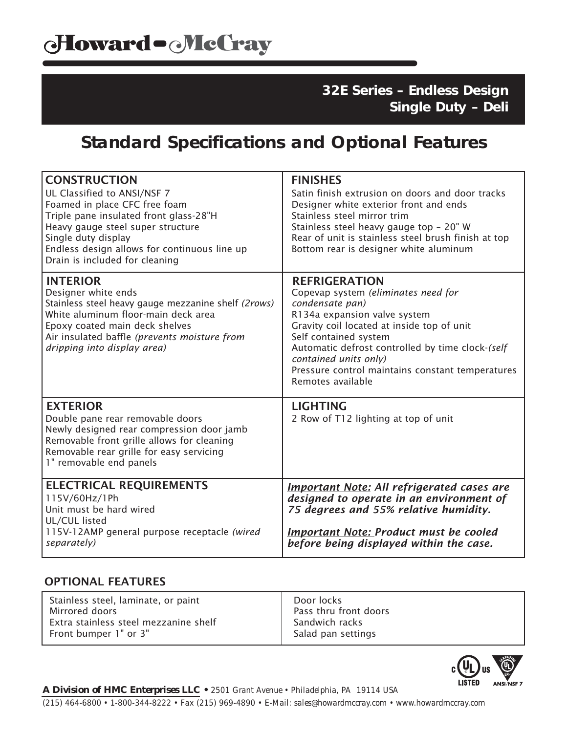## **Standard Specifications and Optional Features**

| <b>CONSTRUCTION</b><br>UL Classified to ANSI/NSF 7<br>Foamed in place CFC free foam<br>Triple pane insulated front glass-28"H<br>Heavy gauge steel super structure<br>Single duty display<br>Endless design allows for continuous line up<br>Drain is included for cleaning | <b>FINISHES</b><br>Satin finish extrusion on doors and door tracks<br>Designer white exterior front and ends<br>Stainless steel mirror trim<br>Stainless steel heavy gauge top - 20" W<br>Rear of unit is stainless steel brush finish at top<br>Bottom rear is designer white aluminum                                                     |
|-----------------------------------------------------------------------------------------------------------------------------------------------------------------------------------------------------------------------------------------------------------------------------|---------------------------------------------------------------------------------------------------------------------------------------------------------------------------------------------------------------------------------------------------------------------------------------------------------------------------------------------|
| <b>INTERIOR</b><br>Designer white ends<br>Stainless steel heavy gauge mezzanine shelf (2rows)<br>White aluminum floor-main deck area<br>Epoxy coated main deck shelves<br>Air insulated baffle (prevents moisture from<br>dripping into display area)                       | <b>REFRIGERATION</b><br>Copevap system (eliminates need for<br>condensate pan)<br>R134a expansion valve system<br>Gravity coil located at inside top of unit<br>Self contained system<br>Automatic defrost controlled by time clock-(self<br>contained units only)<br>Pressure control maintains constant temperatures<br>Remotes available |
| <b>EXTERIOR</b><br>Double pane rear removable doors<br>Newly designed rear compression door jamb<br>Removable front grille allows for cleaning<br>Removable rear grille for easy servicing<br>1" removable end panels                                                       | <b>LIGHTING</b><br>2 Row of T12 lighting at top of unit                                                                                                                                                                                                                                                                                     |
| <b>ELECTRICAL REQUIREMENTS</b><br>115V/60Hz/1Ph<br>Unit must be hard wired<br>UL/CUL listed<br>115V-12AMP general purpose receptacle (wired<br>separately)                                                                                                                  | <b>Important Note: All refrigerated cases are</b><br>designed to operate in an environment of<br>75 degrees and 55% relative humidity.<br><b>Important Note: Product must be cooled</b><br>before being displayed within the case.                                                                                                          |

### OPTIONAL FEATURES

| Stainless steel, laminate, or paint   | Door locks            |
|---------------------------------------|-----------------------|
| Mirrored doors                        | Pass thru front doors |
| Extra stainless steel mezzanine shelf | Sandwich racks        |
| Front bumper 1" or 3"                 | Salad pan settings    |
|                                       |                       |



*A Division of HMC Enterprises LLC • 2501 Grant Avenue • Philadelphia, PA 19114 USA (215) 464-6800 • 1-800-344-8222 • Fax (215) 969-4890 • E-Mail: sales@howardmccray.com • www.howardmccray.com*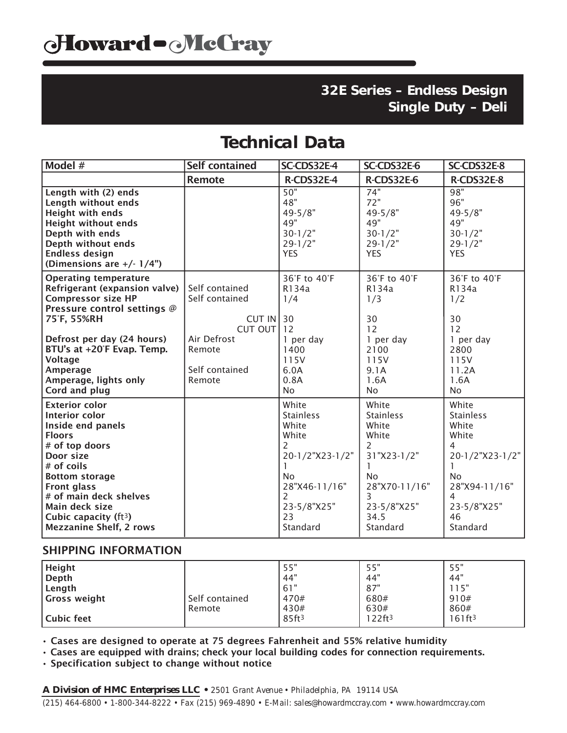## **Technical Data**

| Model #                                                                                                                                                                                                                                                                             | <b>Self contained</b>                                                  | SC-CDS32E-4                                                                                                                                                       | SC-CDS32E-6                                                                                                                           | SC-CDS32E-8                                                                                                                                                            |
|-------------------------------------------------------------------------------------------------------------------------------------------------------------------------------------------------------------------------------------------------------------------------------------|------------------------------------------------------------------------|-------------------------------------------------------------------------------------------------------------------------------------------------------------------|---------------------------------------------------------------------------------------------------------------------------------------|------------------------------------------------------------------------------------------------------------------------------------------------------------------------|
|                                                                                                                                                                                                                                                                                     | <b>Remote</b>                                                          | R-CDS32E-4                                                                                                                                                        | R-CDS32E-6                                                                                                                            | R-CDS32E-8                                                                                                                                                             |
| Length with (2) ends<br>Length without ends<br><b>Height with ends</b><br><b>Height without ends</b><br>Depth with ends<br>Depth without ends<br><b>Endless design</b><br>(Dimensions are $+/- 1/4$ ")                                                                              |                                                                        | 50"<br>48"<br>$49 - 5/8"$<br>49"<br>$30 - 1/2"$<br>$29 - 1/2"$<br><b>YES</b>                                                                                      | 74"<br>72"<br>$49 - 5/8"$<br>49"<br>$30 - 1/2"$<br>$29 - 1/2"$<br><b>YES</b>                                                          | 98"<br>96"<br>$49 - 5/8"$<br>49"<br>$30 - 1/2"$<br>$29 - 1/2"$<br><b>YES</b>                                                                                           |
| <b>Operating temperature</b><br>Refrigerant (expansion valve)<br><b>Compressor size HP</b><br>Pressure control settings @<br>75°F, 55%RH                                                                                                                                            | Self contained<br>Self contained<br><b>CUT IN 30</b><br>$CUT$ OUT $12$ | 36°F to 40°F<br>R134a<br>1/4                                                                                                                                      | 36°F to 40°F<br>R134a<br>1/3<br>30<br>12                                                                                              | 36°F to 40°F<br>R134a<br>1/2<br>30<br>12                                                                                                                               |
| Defrost per day (24 hours)<br>BTU's at +20°F Evap. Temp.<br><b>Voltage</b><br>Amperage<br>Amperage, lights only<br>Cord and plug                                                                                                                                                    | Air Defrost<br>Remote<br>Self contained<br>Remote                      | 1 per day<br>1400<br>115V<br>6.0A<br>0.8A<br><b>No</b>                                                                                                            | 1 per day<br>2100<br>115V<br>9.1A<br>1.6A<br>No.                                                                                      | 1 per day<br>2800<br>115V<br>11.2A<br>1.6A<br><b>No</b>                                                                                                                |
| <b>Exterior color</b><br>Interior color<br>Inside end panels<br><b>Floors</b><br># of top doors<br>Door size<br># of coils<br><b>Bottom storage</b><br><b>Front glass</b><br># of main deck shelves<br>Main deck size<br>Cubic capacity ( $ft3$ )<br><b>Mezzanine Shelf, 2 rows</b> |                                                                        | White<br><b>Stainless</b><br>White<br>White<br>$\overline{2}$<br>20-1/2"X23-1/2"<br><b>No</b><br>28"X46-11/16"<br>$\overline{2}$<br>23-5/8"X25"<br>23<br>Standard | White<br><b>Stainless</b><br>White<br>White<br>2<br>31"X23-1/2"<br><b>No</b><br>28"X70-11/16"<br>3<br>23-5/8"X25"<br>34.5<br>Standard | White<br><b>Stainless</b><br>White<br>White<br>$\overline{4}$<br>20-1/2"X23-1/2"<br>1<br><b>No</b><br>28"X94-11/16"<br>$\overline{4}$<br>23-5/8"X25"<br>46<br>Standard |

#### SHIPPING INFORMATION

| <b>Height</b>       |                | 55"               | 55"                   | 55"                |
|---------------------|----------------|-------------------|-----------------------|--------------------|
| Depth               |                | 44"               | 44"                   | 44"                |
| Length              |                | 61"               | 87"                   | 15"                |
| <b>Gross weight</b> | Self contained | 470#              | 680#                  | 910#               |
|                     | Remote         | 430#              | 630#                  | 860#               |
| l Cubic feet        |                | 85ft <sup>3</sup> | $122$ ft <sup>3</sup> | 161ft <sup>3</sup> |

• Cases are designed to operate at 75 degrees Fahrenheit and 55% relative humidity

• Cases are equipped with drains; check your local building codes for connection requirements.

• Specification subject to change without notice